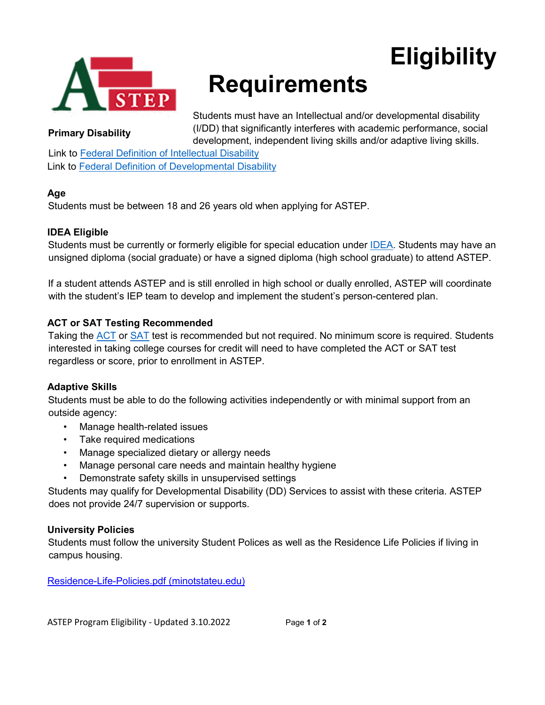

# **Requirements**

Students must have an Intellectual and/or developmental disability (I/DD) that significantly interferes with academic performance, social development, independent living skills and/or adaptive living skills.

**Eligibility**

#### **Primary Disability**

Link to [Federal Definition of Intellectual Disability](https://www.aaidd.org/intellectual-disability/definition) Link to [Federal Definition of Developmental Disability](https://www.thinkwork.org/federal-definition-developmental-disabilities)

# **Age**

Students must be between 18 and 26 years old when applying for ASTEP.

# **IDEA Eligible**

Students must be currently or formerly eligible for special education under **IDEA**. Students may have an unsigned diploma (social graduate) or have a signed diploma (high school graduate) to attend ASTEP.

If a student attends ASTEP and is still enrolled in high school or dually enrolled, ASTEP will coordinate with the student's IEP team to develop and implement the student's person-centered plan.

# **ACT or SAT Testing Recommended**

Taking the [ACT](https://www.act.org/content/act/en/products-and-services/the-act.html) or [SAT](https://www.collegeboard.org/) test is recommended but not required. No minimum score is required. Students interested in taking college courses for credit will need to have completed the ACT or SAT test regardless or score, prior to enrollment in ASTEP.

# **Adaptive Skills**

Students must be able to do the following activities independently or with minimal support from an outside agency:

- Manage health-related issues
- Take required medications
- Manage specialized dietary or allergy needs
- Manage personal care needs and maintain healthy hygiene
- Demonstrate safety skills in unsupervised settings

Students may qualify for Developmental Disability (DD) Services to assist with these criteria. ASTEP does not provide 24/7 supervision or supports.

# **University Policies**

Students must follow the university Student Polices as well as the Residence Life Policies if living in campus housing.

[Residence-Life-Policies.pdf \(minotstateu.edu\)](https://www.minotstateu.edu/life/_documents/Residence-Life-Policies.pdf)